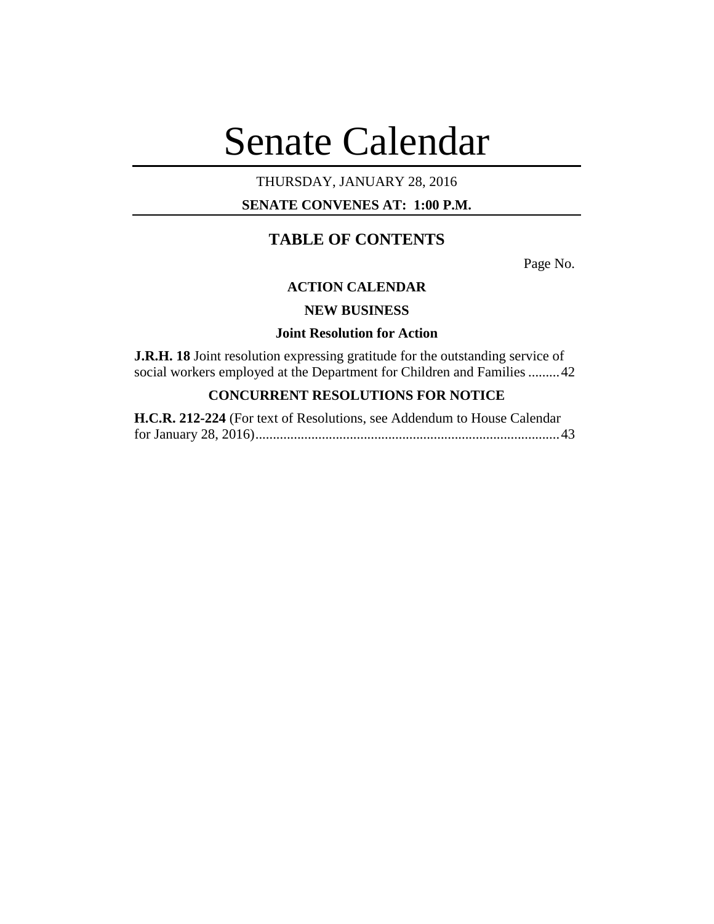# Senate Calendar

## THURSDAY, JANUARY 28, 2016

### **SENATE CONVENES AT: 1:00 P.M.**

# **TABLE OF CONTENTS**

Page No.

#### **ACTION CALENDAR**

## **NEW BUSINESS**

## **Joint Resolution for Action**

**J.R.H. 18** Joint resolution expressing gratitude for the outstanding service of social workers employed at the Department for Children and Families .........42

# **CONCURRENT RESOLUTIONS FOR NOTICE**

| H.C.R. 212-224 (For text of Resolutions, see Addendum to House Calendar |  |
|-------------------------------------------------------------------------|--|
|                                                                         |  |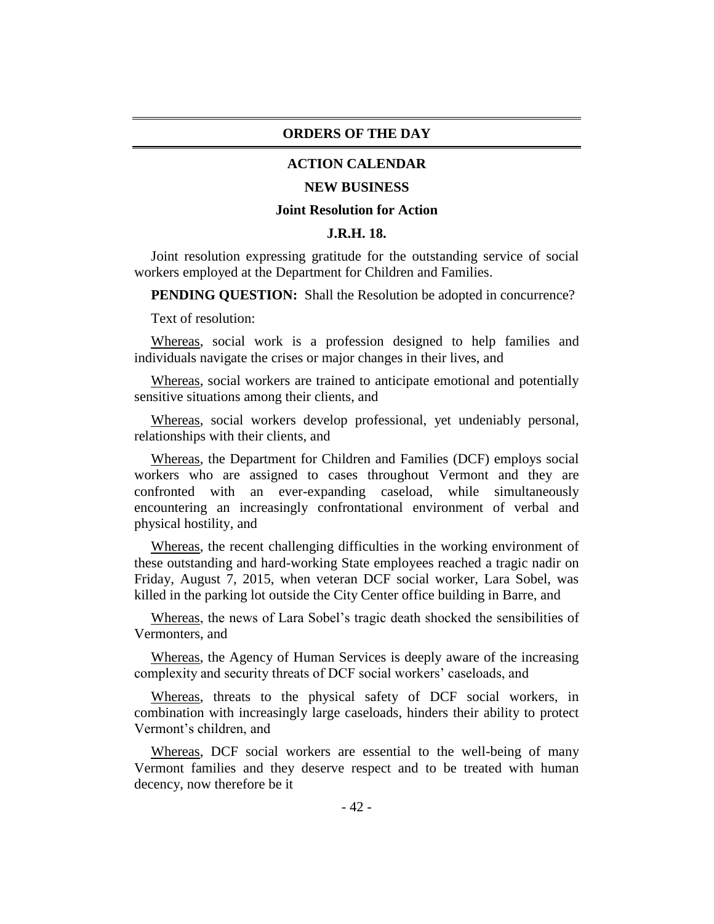#### **ORDERS OF THE DAY**

#### **ACTION CALENDAR**

#### **NEW BUSINESS**

#### **Joint Resolution for Action**

#### **J.R.H. 18.**

Joint resolution expressing gratitude for the outstanding service of social workers employed at the Department for Children and Families.

**PENDING QUESTION:** Shall the Resolution be adopted in concurrence?

Text of resolution:

Whereas, social work is a profession designed to help families and individuals navigate the crises or major changes in their lives, and

Whereas, social workers are trained to anticipate emotional and potentially sensitive situations among their clients, and

Whereas, social workers develop professional, yet undeniably personal, relationships with their clients, and

Whereas, the Department for Children and Families (DCF) employs social workers who are assigned to cases throughout Vermont and they are confronted with an ever-expanding caseload, while simultaneously encountering an increasingly confrontational environment of verbal and physical hostility, and

Whereas, the recent challenging difficulties in the working environment of these outstanding and hard-working State employees reached a tragic nadir on Friday, August 7, 2015, when veteran DCF social worker, Lara Sobel, was killed in the parking lot outside the City Center office building in Barre, and

Whereas, the news of Lara Sobel's tragic death shocked the sensibilities of Vermonters, and

Whereas, the Agency of Human Services is deeply aware of the increasing complexity and security threats of DCF social workers' caseloads, and

Whereas, threats to the physical safety of DCF social workers, in combination with increasingly large caseloads, hinders their ability to protect Vermont's children, and

Whereas, DCF social workers are essential to the well-being of many Vermont families and they deserve respect and to be treated with human decency, now therefore be it